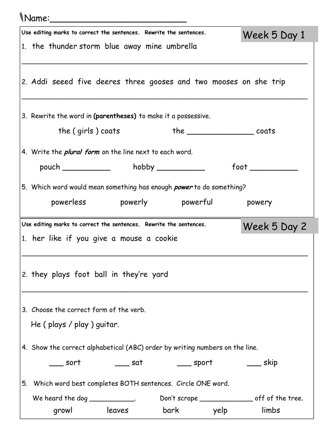|                                                                                    | Use editing marks to correct the sentences. Rewrite the sentences.          |                                        |                                                                              | Week 5 Day 1 |  |  |  |  |
|------------------------------------------------------------------------------------|-----------------------------------------------------------------------------|----------------------------------------|------------------------------------------------------------------------------|--------------|--|--|--|--|
|                                                                                    | 1. the thunder storm blue away mine umbrella                                |                                        |                                                                              |              |  |  |  |  |
|                                                                                    |                                                                             |                                        | 2. Addi seeed five deeres three gooses and two mooses on she trip            |              |  |  |  |  |
|                                                                                    | 3. Rewrite the word in (parentheses) to make it a possessive.               |                                        |                                                                              |              |  |  |  |  |
|                                                                                    | the $(qirls)$ coats                                                         |                                        | $the _______ coats$                                                          |              |  |  |  |  |
|                                                                                    | 4. Write the <i>plural form</i> on the line next to each word.              |                                        |                                                                              |              |  |  |  |  |
|                                                                                    |                                                                             | pouch ______________ hobby ___________ | foot                                                                         |              |  |  |  |  |
|                                                                                    | 5. Which word would mean something has enough <i>power</i> to do something? |                                        |                                                                              |              |  |  |  |  |
|                                                                                    |                                                                             |                                        | powerless powerly powerful powery                                            |              |  |  |  |  |
| Use editing marks to correct the sentences. Rewrite the sentences.<br>Week 5 Day 2 |                                                                             |                                        |                                                                              |              |  |  |  |  |
|                                                                                    | 1. her like if you give a mouse a cookie                                    |                                        |                                                                              |              |  |  |  |  |
|                                                                                    |                                                                             |                                        |                                                                              |              |  |  |  |  |
|                                                                                    | 2. they plays foot ball in they're yard                                     |                                        |                                                                              |              |  |  |  |  |
|                                                                                    | 3. Choose the correct form of the verb.                                     |                                        |                                                                              |              |  |  |  |  |
|                                                                                    | He (plays / play) guitar.                                                   |                                        |                                                                              |              |  |  |  |  |
|                                                                                    |                                                                             |                                        | 4. Show the correct alphabetical (ABC) order by writing numbers on the line. |              |  |  |  |  |
|                                                                                    | sort                                                                        | _____ sat                              |                                                                              |              |  |  |  |  |
|                                                                                    |                                                                             |                                        | 5. Which word best completes BOTH sentences. Circle ONE word.                |              |  |  |  |  |
|                                                                                    | We heard the dog _____________.                                             |                                        |                                                                              |              |  |  |  |  |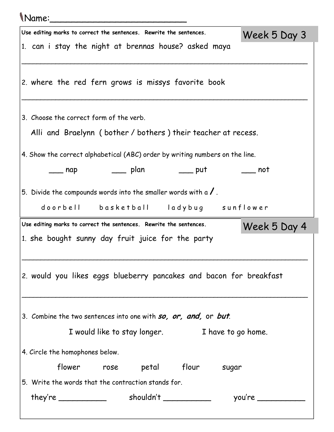| <i>Name:</i>                                                                 |                  |
|------------------------------------------------------------------------------|------------------|
| Use editing marks to correct the sentences. Rewrite the sentences.           | Week 5 Day 3     |
| 1. can i stay the night at brennas house? asked maya                         |                  |
| 2. where the red fern grows is missys favorite book                          |                  |
| 3. Choose the correct form of the verb.                                      |                  |
| Alli and Braelynn (bother / bothers) their teacher at recess.                |                  |
| 4. Show the correct alphabetical (ABC) order by writing numbers on the line. |                  |
| _________ plan _________ put<br>$\equiv$ nap                                 | _____ not        |
| 5. Divide the compounds words into the smaller words with a $\sqrt{\ }$ .    |                  |
| doorbell basketball ladybug sunflower                                        |                  |
| Use editing marks to correct the sentences. Rewrite the sentences.           | Week 5 Day 4     |
| 1. she bought sunny day fruit juice for the party                            |                  |
| 2. would you likes eggs blueberry pancakes and bacon for breakfast           |                  |
| 3. Combine the two sentences into one with so, or, and, or but.              |                  |
| I would like to stay longer. I have to go home.                              |                  |
| 4. Circle the homophones below.                                              |                  |
| flower rose petal flour sugar                                                |                  |
| 5. Write the words that the contraction stands for.                          |                  |
|                                                                              | you're _________ |
|                                                                              |                  |